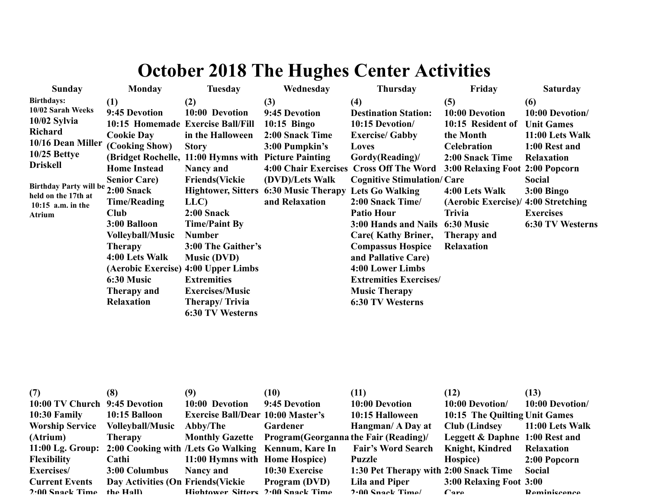## **October 2018 The Hughes Center Activities**

| <b>Sunday</b>                                                            | Monday                            | <b>Tuesday</b>                                       | Wednesday                                    | <b>Thursday</b>                         | Friday                              | <b>Saturday</b>         |
|--------------------------------------------------------------------------|-----------------------------------|------------------------------------------------------|----------------------------------------------|-----------------------------------------|-------------------------------------|-------------------------|
| <b>Birthdays:</b>                                                        | (1)                               | (2)                                                  | (3)                                          | (4)                                     | (5)                                 | (6)                     |
| 10/02 Sarah Weeks<br>10/02 Sylvia<br><b>Richard</b><br>10/16 Dean Miller | 9:45 Devotion                     | 10:00 Devotion                                       | 9:45 Devotion                                | <b>Destination Station:</b>             | 10:00 Devotion                      | 10:00 Devotion/         |
|                                                                          | 10:15 Homemade Exercise Ball/Fill |                                                      | $10:15$ Bingo                                | 10:15 Devotion/                         | 10:15 Resident of                   | <b>Unit Games</b>       |
|                                                                          | <b>Cookie Day</b>                 | in the Halloween                                     | 2:00 Snack Time                              | <b>Exercise/ Gabby</b>                  | the Month                           | 11:00 Lets Walk         |
|                                                                          | (Cooking Show)                    | <b>Story</b>                                         | 3:00 Pumpkin's                               | Loves                                   | <b>Celebration</b>                  | 1:00 Rest and           |
| $10/25$ Bettye                                                           |                                   | (Bridget Rochelle, 11:00 Hymns with Picture Painting |                                              | Gordy(Reading)/                         | 2:00 Snack Time                     | <b>Relaxation</b>       |
| <b>Driskell</b>                                                          | <b>Home Instead</b>               | Nancy and                                            |                                              | 4:00 Chair Exercises Cross Off The Word | 3:00 Relaxing Foot 2:00 Popcorn     |                         |
|                                                                          | <b>Senior Care)</b>               | <b>Friends</b> (Vickie                               | (DVD)/Lets Walk                              | <b>Cognitive Stimulation/Care</b>       |                                     | <b>Social</b>           |
| Birthday Party will be 2:00 Snack<br>held on the 17th at                 |                                   |                                                      | <b>Hightower, Sitters 6:30 Music Therapy</b> | <b>Lets Go Walking</b>                  | 4:00 Lets Walk                      | $3:00$ Bingo            |
| $10:15$ a.m. in the                                                      | <b>Time/Reading</b>               | LLC)                                                 | and Relaxation                               | 2:00 Snack Time/                        | (Aerobic Exercise)/ 4:00 Stretching |                         |
| Atrium                                                                   | <b>Club</b>                       | $2:00$ Snack                                         |                                              | <b>Patio Hour</b>                       | <b>Trivia</b>                       | <b>Exercises</b>        |
|                                                                          | 3:00 Balloon                      | <b>Time/Paint By</b>                                 |                                              | 3:00 Hands and Nails                    | 6:30 Music                          | <b>6:30 TV Westerns</b> |
|                                                                          | <b>Volleyball/Music</b>           | <b>Number</b>                                        |                                              | Care(Kathy Briner,                      | Therapy and                         |                         |
|                                                                          | <b>Therapy</b>                    | 3:00 The Gaither's                                   |                                              | <b>Compassus Hospice</b>                | <b>Relaxation</b>                   |                         |
|                                                                          | 4:00 Lets Walk                    | <b>Music (DVD)</b>                                   |                                              | and Pallative Care)                     |                                     |                         |
|                                                                          |                                   | (Aerobic Exercise) 4:00 Upper Limbs                  |                                              | 4:00 Lower Limbs                        |                                     |                         |
|                                                                          | 6:30 Music                        | <b>Extremities</b>                                   |                                              | <b>Extremities Exercises/</b>           |                                     |                         |
|                                                                          | Therapy and                       | <b>Exercises/Music</b>                               |                                              | <b>Music Therapy</b>                    |                                     |                         |
|                                                                          | <b>Relaxation</b>                 | Therapy/Trivia                                       |                                              | 6:30 TV Westerns                        |                                     |                         |
|                                                                          |                                   | 6:30 TV Westerns                                     |                                              |                                         |                                     |                         |

| (7)                           | (8)                                | (9)                                                                 | (10)                                                   | (11)                                  | (12)                           | (13)                |
|-------------------------------|------------------------------------|---------------------------------------------------------------------|--------------------------------------------------------|---------------------------------------|--------------------------------|---------------------|
| 10:00 TV Church 9:45 Devotion |                                    | 10:00 Devotion                                                      | 9:45 Devotion                                          | 10:00 Devotion                        | 10:00 Devotion/                | 10:00 Devotion/     |
| $10:30$ Family                | 10:15 Balloon                      | <b>Exercise Ball/Dear 10:00 Master's</b>                            |                                                        | 10:15 Halloween                       | 10:15 The Quilting Unit Games  |                     |
| <b>Worship Service</b>        | <b>Volleyball/Music</b>            | Abby/The                                                            | Gardener                                               | Hangman/ A Day at                     | <b>Club</b> (Lindsey           | 11:00 Lets Walk     |
| (Atrium)                      | Therapy                            |                                                                     | Monthly Gazette Program (Georganna the Fair (Reading)/ |                                       | Leggett & Daphne 1:00 Rest and |                     |
|                               |                                    | 11:00 Lg. Group: 2:00 Cooking with /Lets Go Walking Kennum, Kare In |                                                        | <b>Fair's Word Search</b>             | <b>Knight, Kindred</b>         | Relaxation          |
| <b>Flexibility</b>            | Cathi                              | 11:00 Hymns with Home Hospice)                                      |                                                        | Puzzle                                | Hospice)                       | 2:00 Popcorn        |
| <b>Exercises</b> /            | 3:00 Columbus                      | <b>Nancy and</b>                                                    | 10:30 Exercise                                         | 1:30 Pet Therapy with 2:00 Snack Time |                                | <b>Social</b>       |
| <b>Current Events</b>         | Day Activities (On Friends (Vickie |                                                                     | Program (DVD)                                          | Lila and Piper                        | 3:00 Relaxing Foot 3:00        |                     |
| $2.00$ Snack Time             | the Hall)                          | Hightower Sitters 2.00 Snack Time                                   |                                                        | $2.00$ Snack Time                     | $\Gamma$ are                   | <b>Reminiscence</b> |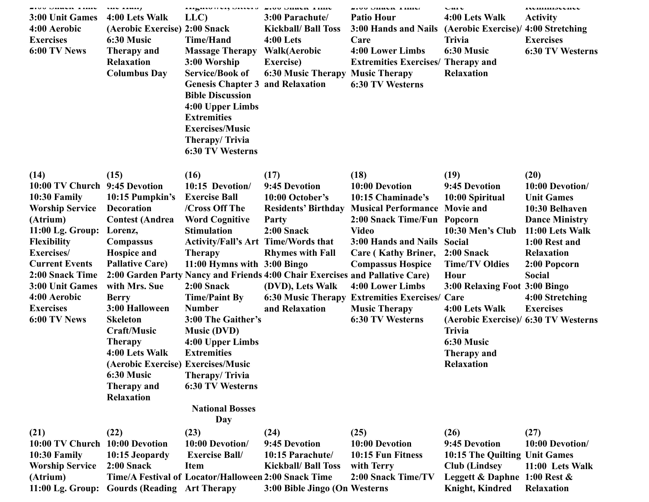| <b>EWU DHAVA THIN</b><br>3:00 Unit Games<br>4:00 Aerobic<br><b>Exercises</b><br>6:00 TV News                                                                                                                                                                             | un man<br>4:00 Lets Walk<br>(Aerobic Exercise) 2:00 Snack<br>6:30 Music<br>Therapy and<br><b>Relaxation</b><br><b>Columbus Day</b>                                                                                                                                                                                                                              | <b>INGHWWVI, ORWIS 2.00 ORAN THIN</b><br>LLC)<br><b>Time/Hand</b><br><b>Massage Therapy</b><br>3:00 Worship<br><b>Service/Book of</b><br><b>Genesis Chapter 3 and Relaxation</b><br><b>Bible Discussion</b><br>4:00 Upper Limbs<br><b>Extremities</b><br><b>Exercises/Music</b><br>Therapy/Trivia<br>6:30 TV Westerns                                                                                                               | 3:00 Parachute/<br><b>Kickball/ Ball Toss</b><br>$4:00$ Lets<br><b>Walk</b> (Aerobic<br><b>Exercise</b> )<br><b>6:30 Music Therapy</b>                                                                             | <b>EOU DHAVA THIN</b><br><b>Patio Hour</b><br>3:00 Hands and Nails (Aerobic Exercise)/ 4:00 Stretching<br>Care<br>4:00 Lower Limbs<br><b>Extremities Exercises/ Therapy and</b><br><b>Music Therapy</b><br>6:30 TV Westerns                                                                                                                  | $\mathbf{u}$<br>4:00 Lets Walk<br><b>Trivia</b><br>6:30 Music<br><b>Relaxation</b>                                                                                                                                                                                                                  | nummounu<br><b>Activity</b><br><b>Exercises</b><br><b>6:30 TV Westerns</b>                                                                                                                                               |
|--------------------------------------------------------------------------------------------------------------------------------------------------------------------------------------------------------------------------------------------------------------------------|-----------------------------------------------------------------------------------------------------------------------------------------------------------------------------------------------------------------------------------------------------------------------------------------------------------------------------------------------------------------|-------------------------------------------------------------------------------------------------------------------------------------------------------------------------------------------------------------------------------------------------------------------------------------------------------------------------------------------------------------------------------------------------------------------------------------|--------------------------------------------------------------------------------------------------------------------------------------------------------------------------------------------------------------------|----------------------------------------------------------------------------------------------------------------------------------------------------------------------------------------------------------------------------------------------------------------------------------------------------------------------------------------------|-----------------------------------------------------------------------------------------------------------------------------------------------------------------------------------------------------------------------------------------------------------------------------------------------------|--------------------------------------------------------------------------------------------------------------------------------------------------------------------------------------------------------------------------|
| (14)<br>10:00 TV Church 9:45 Devotion<br>10:30 Family<br><b>Worship Service</b><br>(Atrium)<br>$11:00$ Lg. Group:<br><b>Flexibility</b><br>Exercises/<br><b>Current Events</b><br>2:00 Snack Time<br>3:00 Unit Games<br>4:00 Aerobic<br><b>Exercises</b><br>6:00 TV News | (15)<br>10:15 Pumpkin's<br><b>Decoration</b><br><b>Contest (Andrea</b><br>Lorenz,<br>Compassus<br><b>Hospice and</b><br><b>Pallative Care)</b><br>with Mrs. Sue<br><b>Berry</b><br>3:00 Halloween<br><b>Skeleton</b><br><b>Craft/Music</b><br><b>Therapy</b><br>4:00 Lets Walk<br>(Aerobic Exercise) Exercises/Music<br>6:30 Music<br>Therapy and<br>Relaxation | (16)<br>10:15 Devotion/<br><b>Exercise Ball</b><br>/Cross Off The<br><b>Word Cognitive</b><br><b>Stimulation</b><br><b>Activity/Fall's Art Time/Words that</b><br><b>Therapy</b><br>11:00 Hymns with 3:00 Bingo<br>2:00 Snack<br><b>Time/Paint By</b><br><b>Number</b><br>3:00 The Gaither's<br><b>Music (DVD)</b><br>4:00 Upper Limbs<br><b>Extremities</b><br>Therapy/Trivia<br>6:30 TV Westerns<br><b>National Bosses</b><br>Day | (17)<br>9:45 Devotion<br>10:00 October's<br>Party<br>$2:00$ Snack<br><b>Rhymes with Fall</b><br>2:00 Garden Party Nancy and Friends 4:00 Chair Exercises and Pallative Care)<br>(DVD), Lets Walk<br>and Relaxation | (18)<br>10:00 Devotion<br>10:15 Chaminade's<br>Residents' Birthday Musical Performance Movie and<br>2:00 Snack Time/Fun Popcorn<br><b>Video</b><br>3:00 Hands and Nails<br>Care (Kathy Briner,<br><b>Compassus Hospice</b><br>4:00 Lower Limbs<br>6:30 Music Therapy Extremities Exercises/ Care<br><b>Music Therapy</b><br>6:30 TV Westerns | (19)<br>9:45 Devotion<br>10:00 Spiritual<br>10:30 Men's Club<br><b>Social</b><br>$2:00$ Snack<br><b>Time/TV Oldies</b><br>Hour<br>3:00 Relaxing Foot 3:00 Bingo<br>4:00 Lets Walk<br>(Aerobic Exercise)/ 6:30 TV Westerns<br><b>Trivia</b><br>6:30 Music<br><b>Therapy and</b><br><b>Relaxation</b> | (20)<br>10:00 Devotion/<br><b>Unit Games</b><br>10:30 Belhaven<br><b>Dance Ministry</b><br>11:00 Lets Walk<br>1:00 Rest and<br><b>Relaxation</b><br>2:00 Popcorn<br><b>Social</b><br>4:00 Stretching<br><b>Exercises</b> |
| (21)<br>10:00 TV Church<br>10:30 Family<br><b>Worship Service</b><br>(Atrium)                                                                                                                                                                                            | (22)<br>10:00 Devotion<br>10:15 Jeopardy<br>$2:00$ Snack                                                                                                                                                                                                                                                                                                        | (23)<br>10:00 Devotion/<br><b>Exercise Ball/</b><br><b>Item</b><br>Time/A Festival of Locator/Halloween 2:00 Snack Time                                                                                                                                                                                                                                                                                                             | (24)<br>9:45 Devotion<br>10:15 Parachute/<br><b>Kickball/ Ball Toss</b>                                                                                                                                            | (25)<br>10:00 Devotion<br>10:15 Fun Fitness<br>with Terry<br>2:00 Snack Time/TV                                                                                                                                                                                                                                                              | (26)<br>9:45 Devotion<br>10:15 The Quilting Unit Games<br><b>Club</b> (Lindsey<br>Leggett & Daphne 1:00 Rest &                                                                                                                                                                                      | (27)<br>10:00 Devotion/<br>11:00 Lets Walk                                                                                                                                                                               |

**3:00 Bible Jingo (On Westerns**

**Knight, Kindred Relaxation**

**11:00 Lg. Group: Gourds (Reading Art Therapy**